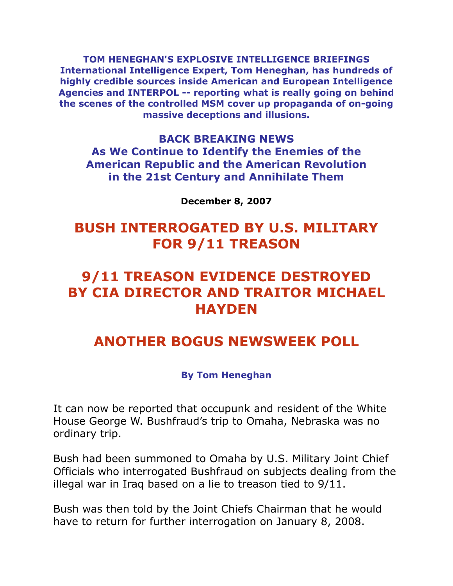**TOM HENEGHAN'S EXPLOSIVE INTELLIGENCE BRIEFINGS International Intelligence Expert, Tom Heneghan, has hundreds of highly credible sources inside American and European Intelligence Agencies and INTERPOL -- reporting what is really going on behind the scenes of the controlled MSM cover up propaganda of on-going massive deceptions and illusions.**

## **BACK BREAKING NEWS As We Continue to Identify the Enemies of the American Republic and the American Revolution in the 21st Century and Annihilate Them**

**December 8, 2007**

# **BUSH INTERROGATED BY U.S. MILITARY FOR 9/11 TREASON**

# **9/11 TREASON EVIDENCE DESTROYED BY CIA DIRECTOR AND TRAITOR MICHAEL HAYDEN**

# **ANOTHER BOGUS NEWSWEEK POLL**

#### **By Tom Heneghan**

It can now be reported that occupunk and resident of the White House George W. Bushfraud's trip to Omaha, Nebraska was no ordinary trip.

Bush had been summoned to Omaha by U.S. Military Joint Chief Officials who interrogated Bushfraud on subjects dealing from the illegal war in Iraq based on a lie to treason tied to 9/11.

Bush was then told by the Joint Chiefs Chairman that he would have to return for further interrogation on January 8, 2008.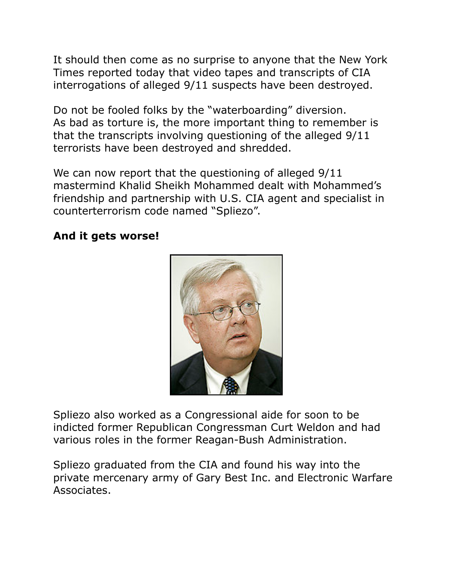It should then come as no surprise to anyone that the New York Times reported today that video tapes and transcripts of CIA interrogations of alleged 9/11 suspects have been destroyed.

Do not be fooled folks by the "waterboarding" diversion. As bad as torture is, the more important thing to remember is that the transcripts involving questioning of the alleged 9/11 terrorists have been destroyed and shredded.

We can now report that the questioning of alleged  $9/11$ mastermind Khalid Sheikh Mohammed dealt with Mohammed's friendship and partnership with U.S. CIA agent and specialist in counterterrorism code named "Spliezo".

#### **And it gets worse!**



Spliezo also worked as a Congressional aide for soon to be indicted former Republican Congressman Curt Weldon and had various roles in the former Reagan-Bush Administration.

Spliezo graduated from the CIA and found his way into the private mercenary army of Gary Best Inc. and Electronic Warfare Associates.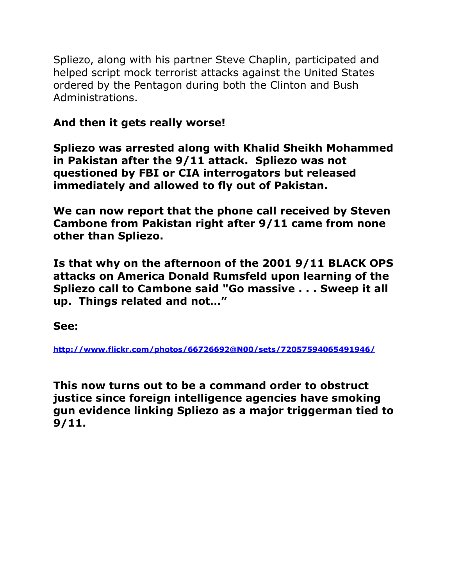Spliezo, along with his partner Steve Chaplin, participated and helped script mock terrorist attacks against the United States ordered by the Pentagon during both the Clinton and Bush Administrations.

## **And then it gets really worse!**

**Spliezo was arrested along with Khalid Sheikh Mohammed in Pakistan after the 9/11 attack. Spliezo was not questioned by FBI or CIA interrogators but released immediately and allowed to fly out of Pakistan.** 

**We can now report that the phone call received by Steven Cambone from Pakistan right after 9/11 came from none other than Spliezo.**

**Is that why on the afternoon of the 2001 9/11 BLACK OPS attacks on America Donald Rumsfeld upon learning of the Spliezo call to Cambone said "Go massive . . . Sweep it all up. Things related and not…"** 

**See:** 

**<http://www.flickr.com/photos/66726692@N00/sets/72057594065491946/>**

**This now turns out to be a command order to obstruct justice since foreign intelligence agencies have smoking gun evidence linking Spliezo as a major triggerman tied to 9/11.**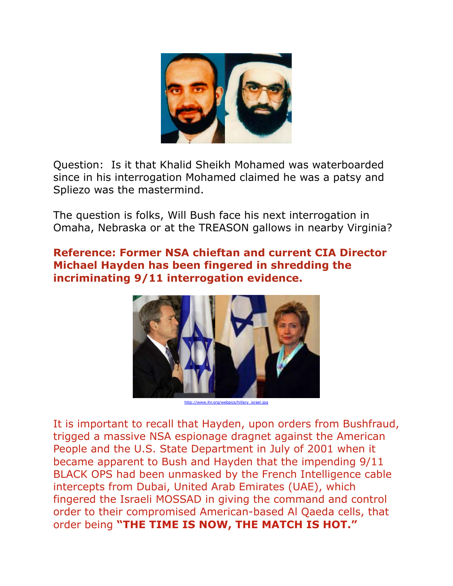

Question: Is it that Khalid Sheikh Mohamed was waterboarded since in his interrogation Mohamed claimed he was a patsy and Spliezo was the mastermind.

The question is folks, Will Bush face his next interrogation in Omaha, Nebraska or at the TREASON gallows in nearby Virginia?

## **Reference: Former NSA chieftan and current CIA Director Michael Hayden has been fingered in shredding the incriminating 9/11 interrogation evidence.**



[http://www.ihr.org/webpics/hillary\\_israel.jpg](http://www.ihr.org/webpics/hillary_israel.jpg)

It is important to recall that Hayden, upon orders from Bushfraud, trigged a massive NSA espionage dragnet against the American People and the U.S. State Department in July of 2001 when it became apparent to Bush and Hayden that the impending 9/11 BLACK OPS had been unmasked by the French Intelligence cable intercepts from Dubai, United Arab Emirates (UAE), which fingered the Israeli MOSSAD in giving the command and control order to their compromised American-based Al Qaeda cells, that order being **"THE TIME IS NOW, THE MATCH IS HOT."**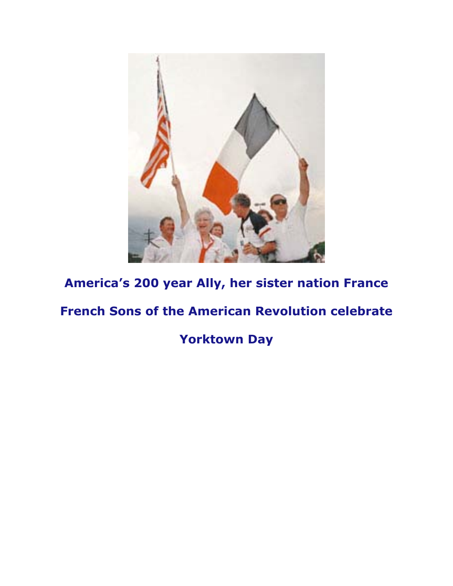

# **America's 200 year Ally, her sister nation France**

# **French Sons of the American Revolution celebrate**

**Yorktown Day**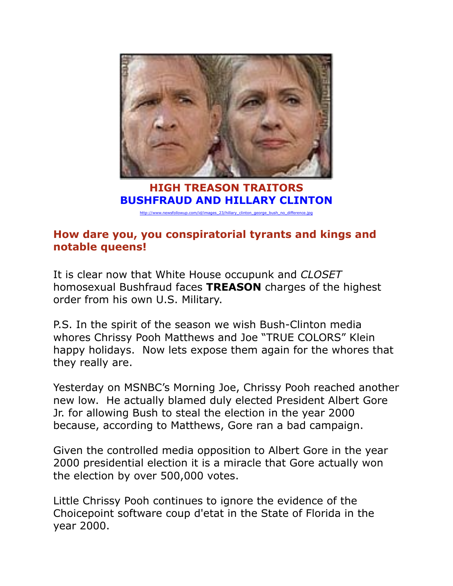

**HIGH TREASON TRAITORS BUSHFRAUD AND HILLARY CLINTON** 

[http://www.newsfollowup.com/id/images\\_23/hillary\\_clinton\\_george\\_bush\\_no\\_difference.jpg](http://www.newsfollowup.com/id/images_23/hillary_clinton_george_bush_no_difference.jpg)

## **How dare you, you conspiratorial tyrants and kings and notable queens!**

It is clear now that White House occupunk and *CLOSET*  homosexual Bushfraud faces **TREASON** charges of the highest order from his own U.S. Military.

P.S. In the spirit of the season we wish Bush-Clinton media whores Chrissy Pooh Matthews and Joe "TRUE COLORS" Klein happy holidays. Now lets expose them again for the whores that they really are.

Yesterday on MSNBC's Morning Joe, Chrissy Pooh reached another new low. He actually blamed duly elected President Albert Gore Jr. for allowing Bush to steal the election in the year 2000 because, according to Matthews, Gore ran a bad campaign.

Given the controlled media opposition to Albert Gore in the year 2000 presidential election it is a miracle that Gore actually won the election by over 500,000 votes.

Little Chrissy Pooh continues to ignore the evidence of the Choicepoint software coup d'etat in the State of Florida in the year 2000.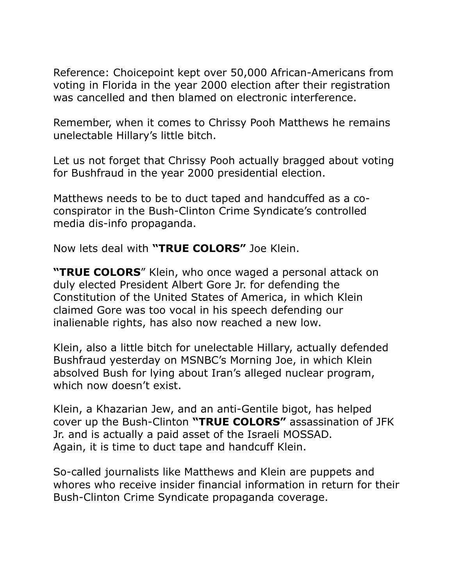Reference: Choicepoint kept over 50,000 African-Americans from voting in Florida in the year 2000 election after their registration was cancelled and then blamed on electronic interference.

Remember, when it comes to Chrissy Pooh Matthews he remains unelectable Hillary's little bitch.

Let us not forget that Chrissy Pooh actually bragged about voting for Bushfraud in the year 2000 presidential election.

Matthews needs to be to duct taped and handcuffed as a coconspirator in the Bush-Clinton Crime Syndicate's controlled media dis-info propaganda.

Now lets deal with **"TRUE COLORS"** Joe Klein.

**"TRUE COLORS**" Klein, who once waged a personal attack on duly elected President Albert Gore Jr. for defending the Constitution of the United States of America, in which Klein claimed Gore was too vocal in his speech defending our inalienable rights, has also now reached a new low.

Klein, also a little bitch for unelectable Hillary, actually defended Bushfraud yesterday on MSNBC's Morning Joe, in which Klein absolved Bush for lying about Iran's alleged nuclear program, which now doesn't exist.

Klein, a Khazarian Jew, and an anti-Gentile bigot, has helped cover up the Bush-Clinton **"TRUE COLORS"** assassination of JFK Jr. and is actually a paid asset of the Israeli MOSSAD. Again, it is time to duct tape and handcuff Klein.

So-called journalists like Matthews and Klein are puppets and whores who receive insider financial information in return for their Bush-Clinton Crime Syndicate propaganda coverage.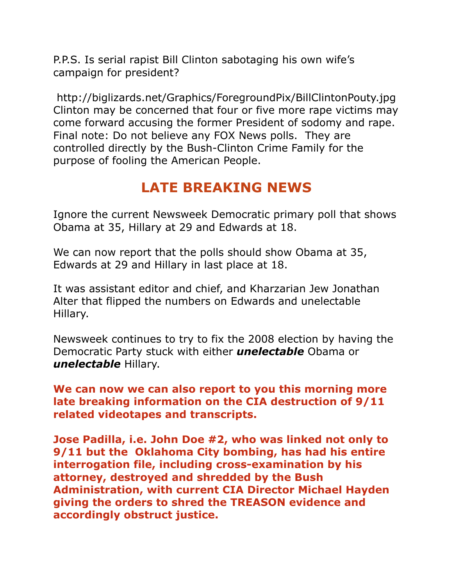P.P.S. Is serial rapist Bill Clinton sabotaging his own wife's campaign for president?

http://biglizards.net/Graphics/ForegroundPix/BillClintonPouty.jpg Clinton may be concerned that four or five more rape victims may come forward accusing the former President of sodomy and rape. Final note: Do not believe any FOX News polls. They are controlled directly by the Bush-Clinton Crime Family for the purpose of fooling the American People.

# **LATE BREAKING NEWS**

Ignore the current Newsweek Democratic primary poll that shows Obama at 35, Hillary at 29 and Edwards at 18.

We can now report that the polls should show Obama at 35, Edwards at 29 and Hillary in last place at 18.

It was assistant editor and chief, and Kharzarian Jew Jonathan Alter that flipped the numbers on Edwards and unelectable Hillary.

Newsweek continues to try to fix the 2008 election by having the Democratic Party stuck with either *unelectable* Obama or *unelectable* Hillary.

**We can now we can also report to you this morning more late breaking information on the CIA destruction of 9/11 related videotapes and transcripts.** 

**Jose Padilla, i.e. John Doe #2, who was linked not only to 9/11 but the Oklahoma City bombing, has had his entire interrogation file, including cross-examination by his attorney, destroyed and shredded by the Bush Administration, with current CIA Director Michael Hayden giving the orders to shred the TREASON evidence and accordingly obstruct justice.**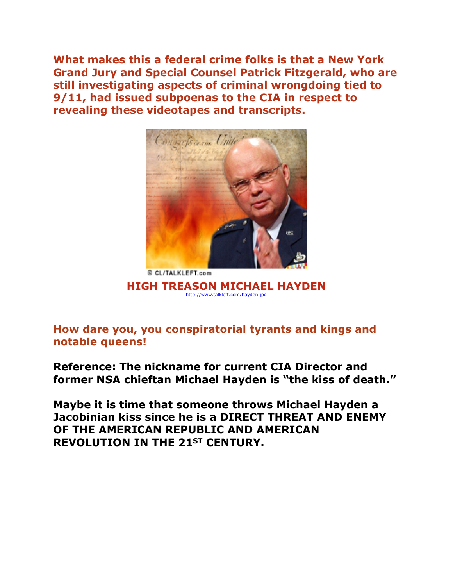**What makes this a federal crime folks is that a New York Grand Jury and Special Counsel Patrick Fitzgerald, who are still investigating aspects of criminal wrongdoing tied to 9/11, had issued subpoenas to the CIA in respect to revealing these videotapes and transcripts.**



**HIGH TREASON MICHAEL HAYDEN** <http://www.talkleft.com/hayden.jpg>

**How dare you, you conspiratorial tyrants and kings and notable queens!** 

**Reference: The nickname for current CIA Director and former NSA chieftan Michael Hayden is "the kiss of death."** 

**Maybe it is time that someone throws Michael Hayden a Jacobinian kiss since he is a DIRECT THREAT AND ENEMY OF THE AMERICAN REPUBLIC AND AMERICAN REVOLUTION IN THE 21ST CENTURY.**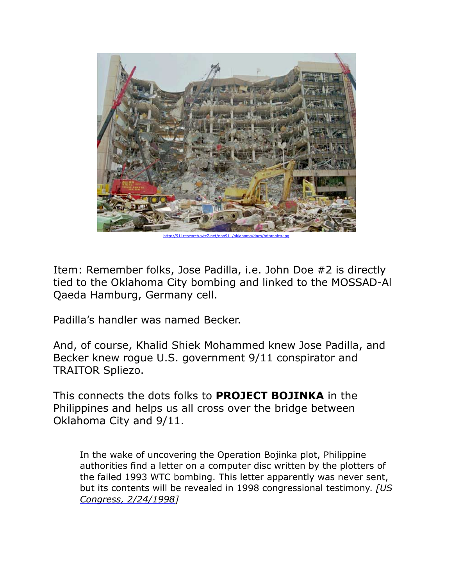

http://911research.wtc7.net/non911/oklahoma/docs/britannica.jp

Item: Remember folks, Jose Padilla, i.e. John Doe #2 is directly tied to the Oklahoma City bombing and linked to the MOSSAD-Al Qaeda Hamburg, Germany cell.

Padilla's handler was named Becker.

And, of course, Khalid Shiek Mohammed knew Jose Padilla, and Becker knew rogue U.S. government 9/11 conspirator and TRAITOR Spliezo.

This connects the dots folks to **PROJECT BOJINKA** in the Philippines and helps us all cross over the bridge between Oklahoma City and 9/11.

In the wake of uncovering the Operation Bojinka plot, Philippine authorities find a letter on a computer disc written by the plotters of the failed 1993 WTC bombing. This letter apparently was never sent, but its contents will be revealed in 1998 congressional testimony. *[[US](http://www.fas.org/irp/congress/1998_hr/s980224c.htm)  [Congress, 2/24/1998](http://www.fas.org/irp/congress/1998_hr/s980224c.htm)]*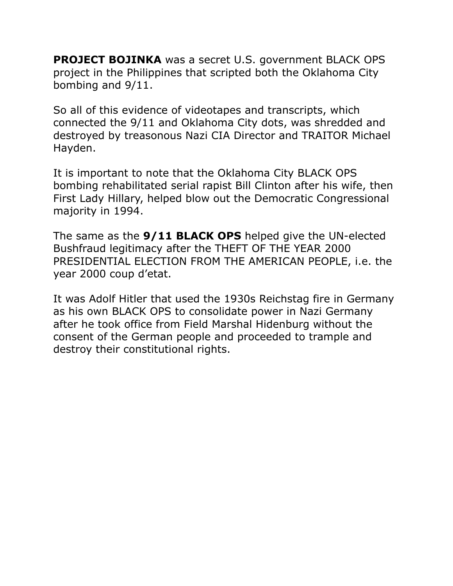**PROJECT BOJINKA** was a secret U.S. government BLACK OPS project in the Philippines that scripted both the Oklahoma City bombing and 9/11.

So all of this evidence of videotapes and transcripts, which connected the 9/11 and Oklahoma City dots, was shredded and destroyed by treasonous Nazi CIA Director and TRAITOR Michael Hayden.

It is important to note that the Oklahoma City BLACK OPS bombing rehabilitated serial rapist Bill Clinton after his wife, then First Lady Hillary, helped blow out the Democratic Congressional majority in 1994.

The same as the **9/11 BLACK OPS** helped give the UN-elected Bushfraud legitimacy after the THEFT OF THE YEAR 2000 PRESIDENTIAL ELECTION FROM THE AMERICAN PEOPLE, i.e. the year 2000 coup d'etat.

It was Adolf Hitler that used the 1930s Reichstag fire in Germany as his own BLACK OPS to consolidate power in Nazi Germany after he took office from Field Marshal Hidenburg without the consent of the German people and proceeded to trample and destroy their constitutional rights.